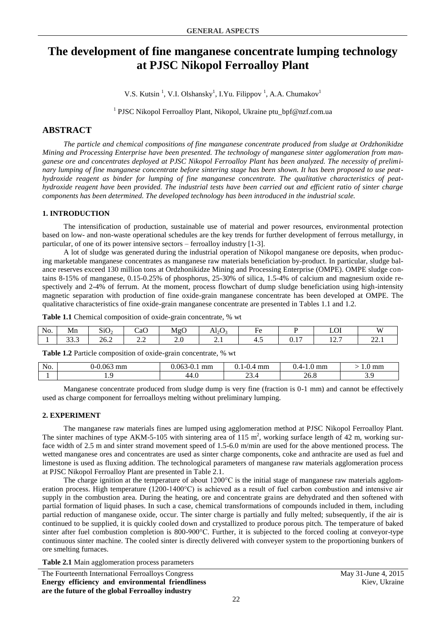# **The development of fine manganese concentrate lumping technology at PJSC Nikopol Ferroalloy Plant**

V.S. Kutsin<sup>1</sup>, V.I. Olshansky<sup>1</sup>, I.Yu. Filippov<sup>1</sup>, A.A. Chumakov<sup>1</sup>

<sup>1</sup> PJSC Nikopol Ferroalloy Plant, Nikopol, Ukraine ptu\_bpf@nzf.com.ua

# **ABSTRACT**

*The particle and chemical compositions of fine manganese concentrate produced from sludge at Ordzhonikidze Mining and Processing Enterprise have been presented. The technology of manganese sinter agglomeration from manganese ore and concentrates deployed at PJSC Nikopol Ferroalloy Plant has been analyzed. The necessity of preliminary lumping of fine manganese concentrate before sintering stage has been shown. It has been proposed to use peathydroxide reagent as binder for lumping of fine manganese concentrate. The qualitative characteristics of peathydroxide reagent have been provided. The industrial tests have been carried out and efficient ratio of sinter charge components has been determined. The developed technology has been introduced in the industrial scale.*

### **1. INTRODUCTION**

The intensification of production, sustainable use of material and power resources, environmental protection based on low- and non-waste operational schedules are the key trends for further development of ferrous metallurgy, in particular, of one of its power intensive sectors – ferroalloy industry [1-3].

A lot of sludge was generated during the industrial operation of Nikopol manganese ore deposits, when producing marketable manganese concentrates as manganese raw materials beneficiation by-product. In particular, sludge balance reserves exceed 130 million tons at Ordzhonikidze Mining and Processing Enterprise (OMPE). OMPE sludge contains 8-15% of manganese, 0.15-0.25% of phosphorus, 25-30% of silica, 1.5-4% of calcium and magnesium oxide respectively and 2-4% of ferrum. At the moment, process flowchart of dump sludge beneficiation using high-intensity magnetic separation with production of fine oxide-grain manganese concentrate has been developed at OMPE. The qualitative characteristics of fine oxide-grain manganese concentrate are presented in Tables 1.1 and 1.2.

| No. | Mn                    | $\sim$<br>510 <sup>2</sup><br>- 2 | CaO | MgC    | Al <sub>2</sub> $\epsilon$<br>∸ | -<br>HΑ      |              | பிட             | $\mathbf{W}$   |
|-----|-----------------------|-----------------------------------|-----|--------|---------------------------------|--------------|--------------|-----------------|----------------|
|     | $\sim$ $\sim$<br>ں رر | 26.2                              | ,,, | $\sim$ | $\overline{\phantom{a}}$        | $+$ . $\sim$ | . .<br>◡ + + | $\sim$<br>14. I | $\sim$<br>44.1 |

**Table 1.2** Particle composition of oxide-grain concentrate, % wt

used as charge component for ferroalloys melting without preliminary lumping.

**Table 1.1** Chemical composition of oxide-grain concentrate, % wt

1 1.9 1.9 44.0 23.4 26.8 3.9 Manganese concentrate produced from sludge dump is very fine (fraction is 0-1 mm) and cannot be effectively

No. 0-0.063 mm 0.063-0.1 mm 0.1-0.4 mm 0.4-1.0 mm > 1.0 mm

#### **2. EXPERIMENT**

The manganese raw materials fines are lumped using agglomeration method at PJSC Nikopol Ferroalloy Plant. The sinter machines of type AKM-5-105 with sintering area of 115  $m^2$ , working surface length of 42 m, working surface width of 2.5 m and sinter strand movement speed of 1.5-6.0 m/min are used for the above mentioned process. The wetted manganese ores and concentrates are used as sinter charge components, coke and anthracite are used as fuel and limestone is used as fluxing addition. The technological parameters of manganese raw materials agglomeration process at PJSC Nikopol Ferroalloy Plant are presented in Table 2.1.

The charge ignition at the temperature of about 1200°C is the initial stage of manganese raw materials agglomeration process. High temperature (1200-1400°C) is achieved as a result of fuel carbon combustion and intensive air supply in the combustion area. During the heating, ore and concentrate grains are dehydrated and then softened with partial formation of liquid phases. In such a case, chemical transformations of compounds included in them, including partial reduction of manganese oxide, occur. The sinter charge is partially and fully melted; subsequently, if the air is continued to be supplied, it is quickly cooled down and crystallized to produce porous pitch. The temperature of baked sinter after fuel combustion completion is 800-900 °C. Further, it is subjected to the forced cooling at conveyor-type continuous sinter machine. The cooled sinter is directly delivered with conveyer system to the proportioning bunkers of ore smelting furnaces.

**Table 2.1** Main agglomeration process parameters

The Fourteenth International Ferroalloys Congress May 31-June 4, 2015 **Energy efficiency and environmental friendliness are the future of the global Ferroalloy industry**

Kiev, Ukraine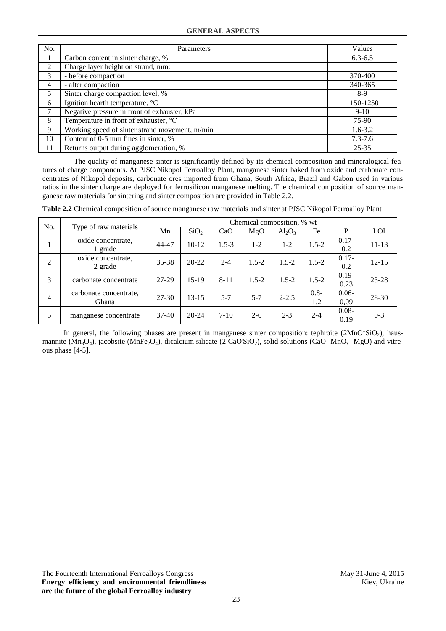| No. | Parameters                                     | Values      |
|-----|------------------------------------------------|-------------|
|     | Carbon content in sinter charge, %             | $6.3 - 6.5$ |
| 2   | Charge layer height on strand, mm:             |             |
| 3   | - before compaction                            | 370-400     |
| 4   | - after compaction                             | 340-365     |
| 5   | Sinter charge compaction level, %              | $8-9$       |
| 6   | Ignition hearth temperature, °C                | 1150-1250   |
|     | Negative pressure in front of exhauster, kPa   | $9-10$      |
| 8   | Temperature in front of exhauster, °C          | 75-90       |
| 9   | Working speed of sinter strand movement, m/min | $1.6 - 3.2$ |
| 10  | Content of 0-5 mm fines in sinter, %           | $7.3 - 7.6$ |
| 11  | Returns output during agglomeration, %         | $25 - 35$   |

The quality of manganese sinter is significantly defined by its chemical composition and mineralogical features of charge components. At PJSC Nikopol Ferroalloy Plant, manganese sinter baked from oxide and carbonate concentrates of Nikopol deposits, carbonate ores imported from Ghana, South Africa, Brazil and Gabon used in various ratios in the sinter charge are deployed for ferrosilicon manganese melting. The chemical composition of source manganese raw materials for sintering and sinter composition are provided in Table 2.2.

| No.            |                                 | Chemical composition, % wt |                  |           |           |           |                |                  |           |
|----------------|---------------------------------|----------------------------|------------------|-----------|-----------|-----------|----------------|------------------|-----------|
|                | Type of raw materials           | Mn                         | SiO <sub>2</sub> | CaO       | MgO       | $Al_2O_3$ | Fe             | P                | LOI       |
|                | oxide concentrate,<br>1 grade   | 44-47                      | $10-12$          | $1.5 - 3$ | $1 - 2$   | $1 - 2$   | $1.5 - 2$      | $0.17 -$<br>0.2  | $11 - 13$ |
| $\overline{2}$ | oxide concentrate,<br>2 grade   | $35 - 38$                  | $20 - 22$        | $2 - 4$   | $1.5 - 2$ | $1.5 - 2$ | $1.5 - 2$      | $0.17 -$<br>0.2  | $12 - 15$ |
| 3              | carbonate concentrate           | 27-29                      | $15-19$          | $8 - 11$  | $1.5 - 2$ | $1.5 - 2$ | $1.5 - 2$      | $0.19 -$<br>0.23 | $23 - 28$ |
| 4              | carbonate concentrate.<br>Ghana | $27 - 30$                  | $13 - 15$        | $5 - 7$   | $5 - 7$   | $2 - 2.5$ | $0.8 -$<br>1.2 | $0.06 -$<br>0,09 | 28-30     |
| 5              | manganese concentrate           | $37-40$                    | $20 - 24$        | $7-10$    | $2 - 6$   | $2 - 3$   | $2 - 4$        | $0.08 -$<br>0.19 | $0 - 3$   |

**Table 2.2** Chemical composition of source manganese raw materials and sinter at PJSC Nikopol Ferroalloy Plant

In general, the following phases are present in manganese sinter composition: tephroite ( $2MnO^SiO_2$ ), hausmannite ( $Mn_3O_4$ ), jacobsite ( $MnFe_2O_4$ ), dicalcium silicate (2 CaOSiO<sub>2</sub>), solid solutions (CaO-  $MnO_x$ - MgO) and vitreous phase [4-5].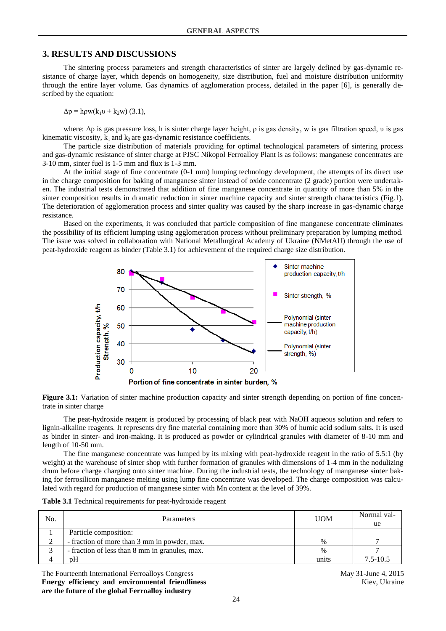## **3. RESULTS AND DISCUSSIONS**

The sintering process parameters and strength characteristics of sinter are largely defined by gas-dynamic resistance of charge layer, which depends on homogeneity, size distribution, fuel and moisture distribution uniformity through the entire layer volume. Gas dynamics of agglomeration process, detailed in the paper [6], is generally described by the equation:

 $\Delta p = h \rho w (k_1 v + k_2 w)$  (3.1),

where:  $\Delta p$  is gas pressure loss, h is sinter charge layer height,  $\rho$  is gas density, w is gas filtration speed, v is gas kinematic viscosity,  $k_1$  and  $k_2$  are gas-dynamic resistance coefficients.

The particle size distribution of materials providing for optimal technological parameters of sintering process and gas-dynamic resistance of sinter charge at PJSC Nikopol Ferroalloy Plant is as follows: manganese concentrates are 3-10 mm, sinter fuel is 1-5 mm and flux is 1-3 mm.

At the initial stage of fine concentrate (0-1 mm) lumping technology development, the attempts of its direct use in the charge composition for baking of manganese sinter instead of oxide concentrate (2 grade) portion were undertaken. The industrial tests demonstrated that addition of fine manganese concentrate in quantity of more than 5% in the sinter composition results in dramatic reduction in sinter machine capacity and sinter strength characteristics (Fig.1). The deterioration of agglomeration process and sinter quality was caused by the sharp increase in gas-dynamic charge resistance.

Based on the experiments, it was concluded that particle composition of fine manganese concentrate eliminates the possibility of its efficient lumping using agglomeration process without preliminary preparation by lumping method. The issue was solved in collaboration with National Metallurgical Academy of Ukraine (NMetAU) through the use of peat-hydroxide reagent as binder (Table 3.1) for achievement of the required charge size distribution.



**Figure 3.1:** Variation of sinter machine production capacity and sinter strength depending on portion of fine concentrate in sinter charge

The peat-hydroxide reagent is produced by processing of black peat with NaOH aqueous solution and refers to lignin-alkaline reagents. It represents dry fine material containing more than 30% of humic acid sodium salts. It is used as binder in sinter- and iron-making. It is produced as powder or cylindrical granules with diameter of 8-10 mm and length of 10-50 mm.

The fine manganese concentrate was lumped by its mixing with peat-hydroxide reagent in the ratio of 5.5:1 (by weight) at the warehouse of sinter shop with further formation of granules with dimensions of 1-4 mm in the nodulizing drum before charge charging onto sinter machine. During the industrial tests, the technology of manganese sinter baking for ferrosilicon manganese melting using lump fine concentrate was developed. The charge composition was calculated with regard for production of manganese sinter with Mn content at the level of 39%.

| Table 3.1 Technical requirements for peat-hydroxide reagent |  |  |  |
|-------------------------------------------------------------|--|--|--|
|-------------------------------------------------------------|--|--|--|

| No. | <b>Parameters</b>                              | <b>UOM</b> | Normal val-<br>ue |
|-----|------------------------------------------------|------------|-------------------|
|     | Particle composition:                          |            |                   |
|     | - fraction of more than 3 mm in powder, max.   | $\%$       |                   |
|     | - fraction of less than 8 mm in granules, max. | $\%$       |                   |
|     | pΗ                                             | units      | $7.5 - 10.5$      |

The Fourteenth International Ferroalloys Congress May 31-June 4, 2015 **Energy efficiency and environmental friendliness are the future of the global Ferroalloy industry**

Kiev, Ukraine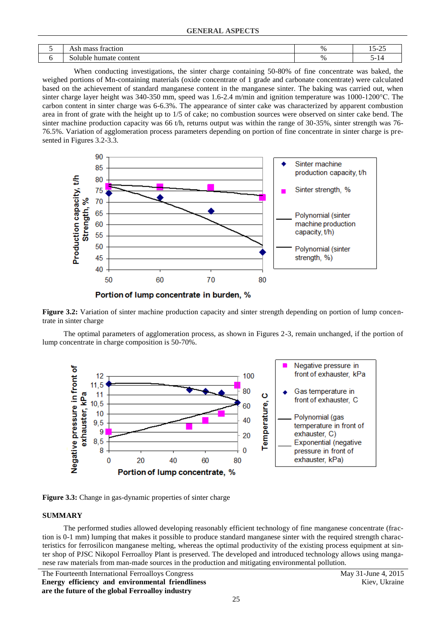| traction<br>000<br>піаээ<br>. лэп<br>. | $\%$ | $\sim$<br>$\mathbf{r}$<br><u>_</u><br>__ |
|----------------------------------------|------|------------------------------------------|
| .<br>.                                 | $\%$ | $\sim$ $\sim$                            |

When conducting investigations, the sinter charge containing 50-80% of fine concentrate was baked, the weighed portions of Mn-containing materials (oxide concentrate of 1 grade and carbonate concentrate) were calculated based on the achievement of standard manganese content in the manganese sinter. The baking was carried out, when sinter charge layer height was 340-350 mm, speed was 1.6-2.4 m/min and ignition temperature was 1000-1200°С. The carbon content in sinter charge was 6-6.3%. The appearance of sinter cake was characterized by apparent combustion area in front of grate with the height up to 1/5 of cake; no combustion sources were observed on sinter cake bend. The sinter machine production capacity was 66 t/h, returns output was within the range of 30-35%, sinter strength was 76-76.5%. Variation of agglomeration process parameters depending on portion of fine concentrate in sinter charge is presented in Figures 3.2-3.3.



Figure 3.2: Variation of sinter machine production capacity and sinter strength depending on portion of lump concentrate in sinter charge

The optimal parameters of agglomeration process, as shown in Figures 2-3, remain unchanged, if the portion of lump concentrate in charge composition is 50-70%.



Figure 3.3: Change in gas-dynamic properties of sinter charge

#### **SUMMARY**

The performed studies allowed developing reasonably efficient technology of fine manganese concentrate (fraction is 0-1 mm) lumping that makes it possible to produce standard manganese sinter with the required strength characteristics for ferrosilicon manganese melting, whereas the optimal productivity of the existing process equipment at sinter shop of PJSC Nikopol Ferroalloy Plant is preserved. The developed and introduced technology allows using manganese raw materials from man-made sources in the production and mitigating environmental pollution.

The Fourteenth International Ferroalloys Congress May 31-June 4, 2015 **Energy efficiency and environmental friendliness are the future of the global Ferroalloy industry**